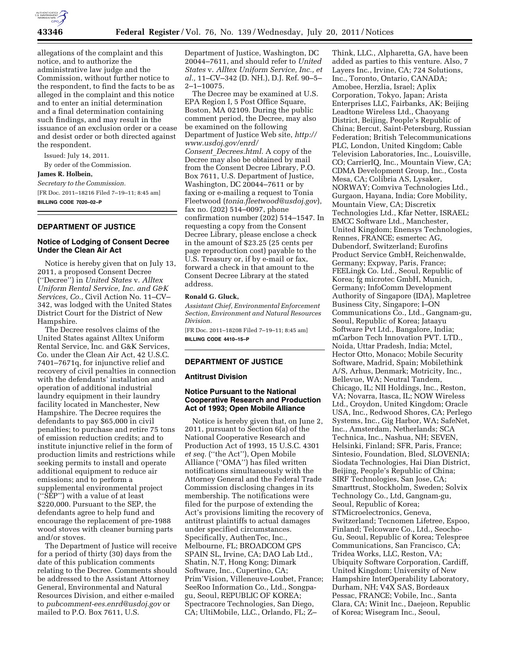

allegations of the complaint and this notice, and to authorize the administrative law judge and the Commission, without further notice to the respondent, to find the facts to be as alleged in the complaint and this notice and to enter an initial determination and a final determination containing such findings, and may result in the issuance of an exclusion order or a cease and desist order or both directed against the respondent.

Issued: July 14, 2011.

By order of the Commission.

**James R. Holbein,** 

*Secretary to the Commission.*  [FR Doc. 2011–18216 Filed 7–19–11; 8:45 am]

**BILLING CODE 7020–02–P** 

## **DEPARTMENT OF JUSTICE**

# **Notice of Lodging of Consent Decree Under the Clean Air Act**

Notice is hereby given that on July 13, 2011, a proposed Consent Decree (''Decree'') in *United States* v. *Alltex Uniform Rental Service, Inc. and G&K Services, Co.,* Civil Action No. 11–CV– 342, was lodged with the United States District Court for the District of New Hampshire.

The Decree resolves claims of the United States against Alltex Uniform Rental Service, Inc. and G&K Services, Co. under the Clean Air Act, 42 U.S.C. 7401–7671q, for injunctive relief and recovery of civil penalties in connection with the defendants' installation and operation of additional industrial laundry equipment in their laundry facility located in Manchester, New Hampshire. The Decree requires the defendants to pay \$65,000 in civil penalties; to purchase and retire 75 tons of emission reduction credits; and to institute injunctive relief in the form of production limits and restrictions while seeking permits to install and operate additional equipment to reduce air emissions; and to perform a supplemental environmental project (''SEP'') with a value of at least \$220,000. Pursuant to the SEP, the defendants agree to help fund and encourage the replacement of pre-1988 wood stoves with cleaner burning parts and/or stoves.

The Department of Justice will receive for a period of thirty (30) days from the date of this publication comments relating to the Decree. Comments should be addressed to the Assistant Attorney General, Environmental and Natural Resources Division, and either e-mailed to *[pubcomment-ees.enrd@usdoj.gov](mailto:pubcomment-ees.enrd@usdoj.gov)* or mailed to P.O. Box 7611, U.S.

Department of Justice, Washington, DC 20044–7611, and should refer to *United States* v. *Alltex Uniform Service, Inc., et al.,* 11–CV–342 (D. NH.), D.J. Ref. 90–5– 2–1–10075.

The Decree may be examined at U.S. EPA Region I, 5 Post Office Square, Boston, MA 02109. During the public comment period, the Decree, may also be examined on the following Department of Justice Web site, *[http://](http://www.usdoj.gov/enrd/Consent_Decrees.html) [www.usdoj.gov/enrd/](http://www.usdoj.gov/enrd/Consent_Decrees.html) Consent*\_*[Decrees.html.](http://www.usdoj.gov/enrd/Consent_Decrees.html)* A copy of the Decree may also be obtained by mail from the Consent Decree Library, P.O. Box 7611, U.S. Department of Justice, Washington, DC 20044–7611 or by faxing or e-mailing a request to Tonia Fleetwood (*[tonia.fleetwood@usdoj.gov](mailto:tonia.fleetwood@usdoj.gov)*), fax no. (202) 514–0097, phone confirmation number (202) 514–1547. In requesting a copy from the Consent Decree Library, please enclose a check in the amount of \$23.25 (25 cents per page reproduction cost) payable to the U.S. Treasury or, if by e-mail or fax, forward a check in that amount to the Consent Decree Library at the stated address.

### **Ronald G. Gluck,**

*Assistant Chief, Environmental Enforcement Section, Environment and Natural Resources Division.* 

[FR Doc. 2011–18208 Filed 7–19–11; 8:45 am] **BILLING CODE 4410–15–P** 

## **DEPARTMENT OF JUSTICE**

#### **Antitrust Division**

### **Notice Pursuant to the National Cooperative Research and Production Act of 1993; Open Mobile Alliance**

Notice is hereby given that, on June 2, 2011, pursuant to Section 6(a) of the National Cooperative Research and Production Act of 1993, 15 U.S.C. 4301 *et seq.* (''the Act''), Open Mobile Alliance (''OMA'') has filed written notifications simultaneously with the Attorney General and the Federal Trade Commission disclosing changes in its membership. The notifications were filed for the purpose of extending the Act's provisions limiting the recovery of antitrust plaintiffs to actual damages under specified circumstances. Specifically, AuthenTec, Inc., Melbourne, FL; BROADCOM GPS SPAIN SL, Irvine, CA; DAO Lab Ltd., Shatin, N.T, Hong Kong; Dimark Software, Inc., Cupertino, CA; Prim'Vision, Villeneuve-Loubet, France; SeeRoo Information Co., Ltd., Songpagu, Seoul, REPUBLIC OF KOREA; Spectracore Technologies, San Diego, CA; UltiMobile, LLC., Orlando, FL; Z–

Think, LLC., Alpharetta, GA, have been added as parties to this venture. Also, 7 Layers Inc., Irvine, CA; 724 Solutions, Inc., Toronto, Ontario, CANADA; Amobee, Herzlia, Israel; Aplix Corporation, Tokyo, Japan; Arista Enterprises LLC, Fairbanks, AK; Beijing Leadtone Wireless Ltd., Chaoyang District, Beijing, People's Republic of China; Bercut, Saint-Petersburg, Russian Federation; British Telecommunications PLC, London, United Kingdom; Cable Television Laboratories, Inc., Louisville, CO; CarrierIQ, Inc., Mountain View, CA; CDMA Development Group, Inc., Costa Mesa, CA; Colibria AS, Lysaker, NORWAY; Comviva Technologies Ltd., Gurgaon, Hayana, India; Core Mobility, Mountain View, CA; Discretix Technologies Ltd., Kfar Netter, ISRAEL; EMCC Software Ltd., Manchester, United Kingdom; Enensys Technologies, Rennes, FRANCE; esmertec AG, Dubendorf, Switzerland; Eurofins Product Service GmbH, Reichenwalde, Germany; Expway, Paris, France; FEELingk Co. Ltd., Seoul, Republic of Korea; fg microtec GmbH, Munich, Germany; InfoComm Development Authority of Singapore (IDA), Mapletree Business City, Singapore; I–ON Communications Co., Ltd., Gangnam-gu, Seoul, Republic of Korea; Jataayu Software Pvt Ltd., Bangalore, India; mCarbon Tech Innovation PVT. LTD., Noida, Uttar Pradesh, India; Mctel, Hector Otto, Monaco; Mobile Security Software, Madrid, Spain; Mobilethink A/S, Arhus, Denmark; Motricity, Inc., Bellevue, WA; Neutral Tandem, Chicago, IL; NII Holdings, Inc., Reston, VA; Novarra, Itasca, IL; NOW Wireless Ltd., Croydon, United Kingdom; Oracle USA, Inc., Redwood Shores, CA; Perlego Systems, Inc., Gig Harbor, WA; SafeNet, Inc., Amsterdam, Netherlands; SCA Technica, Inc., Nashua, NH; SEVEN, Helsinki, Finland; SFR, Paris, France; Sintesio, Foundation, Bled, SLOVENIA; Siodata Technologies, Hai Dian District, Beijing, People's Republic of China; SIRF Technologies, San Jose, CA; Smarttrust, Stockholm, Sweden; Solvix Technology Co., Ltd, Gangnam-gu, Seoul, Republic of Korea; STMicroelectronics, Geneva, Switzerland; Tecnomen Lifetree, Espoo, Finland; Telcoware Co., Ltd., Seocho-Gu, Seoul, Republic of Korea; Telespree Communications, San Francisco, CA; Tridea Works, LLC, Reston, VA; Ubiquity Software Corporation, Cardiff, United Kingdom; University of New Hampshire InterOperability Laboratory, Durham, NH; V4X SAS, Bordeaux Pessac, FRANCE; Vobile, Inc., Santa Clara, CA; Winit Inc., Daejeon, Republic of Korea; Wisegram Inc., Seoul,